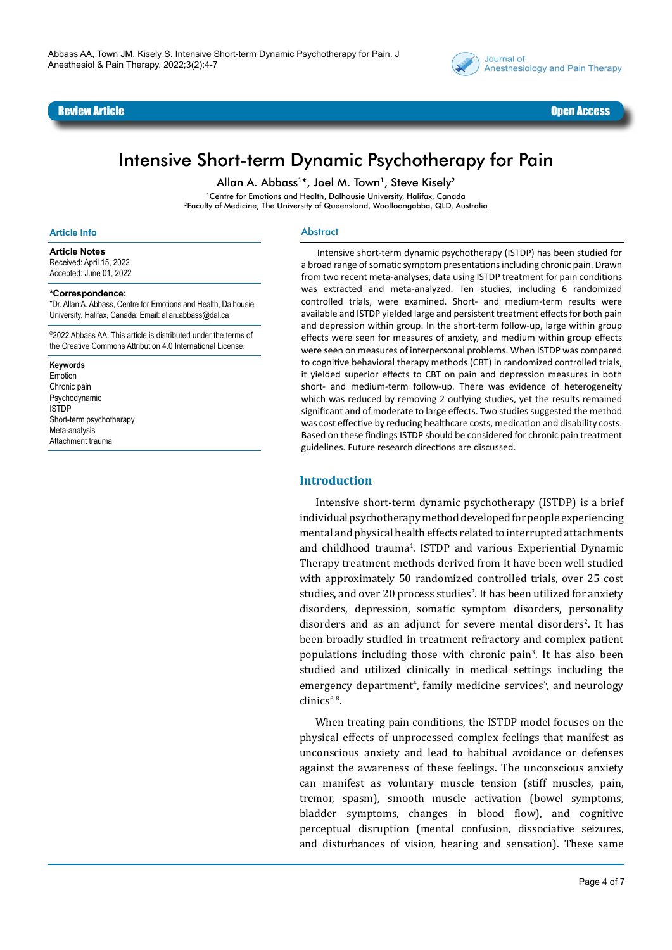



# Intensive Short-term Dynamic Psychotherapy for Pain

Allan A. Abbass<sup>1\*</sup>, Joel M. Town<sup>1</sup>, Steve Kisely<sup>2</sup>

<sup>1</sup>Centre for Emotions and Health, Dalhousie University, Halifax, Canada 2Faculty of Medicine, The University of Queensland, Woolloongabba, QLD, Australia

#### **Article Info**

**Article Notes**

Received: April 15, 2022 Accepted: June 01, 2022

#### **\*Correspondence:**

\*Dr. Allan A. Abbass, Centre for Emotions and Health, Dalhousie University, Halifax, Canada; Email: allan.abbass@dal.ca

©2022 Abbass AA. This article is distributed under the terms of the Creative Commons Attribution 4.0 International License.

#### **Keywords**

Emotion Chronic pain Psychodynamic ISTDP Short-term psychotherapy Meta-analysis Attachment trauma

#### Abstract

Intensive short-term dynamic psychotherapy (ISTDP) has been studied for a broad range of somatic symptom presentations including chronic pain. Drawn from two recent meta-analyses, data using ISTDP treatment for pain conditions was extracted and meta-analyzed. Ten studies, including 6 randomized controlled trials, were examined. Short- and medium-term results were available and ISTDP yielded large and persistent treatment effects for both pain and depression within group. In the short-term follow-up, large within group effects were seen for measures of anxiety, and medium within group effects were seen on measures of interpersonal problems. When ISTDP was compared to cognitive behavioral therapy methods (CBT) in randomized controlled trials, it yielded superior effects to CBT on pain and depression measures in both short- and medium-term follow-up. There was evidence of heterogeneity which was reduced by removing 2 outlying studies, yet the results remained significant and of moderate to large effects. Two studies suggested the method was cost effective by reducing healthcare costs, medication and disability costs. Based on these findings ISTDP should be considered for chronic pain treatment guidelines. Future research directions are discussed.

#### **Introduction**

Intensive short-term dynamic psychotherapy (ISTDP) is a brief individual psychotherapy method developed for people experiencing mental and physical health effects related to interrupted attachments and childhood trauma<sup>1</sup> . ISTDP and various Experiential Dynamic Therapy treatment methods derived from it have been well studied with approximately 50 randomized controlled trials, over 25 cost studies, and over 20 process studies<sup>2</sup>. It has been utilized for anxiety disorders, depression, somatic symptom disorders, personality disorders and as an adjunct for severe mental disorders<sup>2</sup>. It has been broadly studied in treatment refractory and complex patient populations including those with chronic pain<sup>3</sup>. It has also been studied and utilized clinically in medical settings including the emergency department<sup>4</sup>, family medicine services<sup>5</sup>, and neurology  $clinics<sup>6-8</sup>$ .

When treating pain conditions, the ISTDP model focuses on the physical effects of unprocessed complex feelings that manifest as unconscious anxiety and lead to habitual avoidance or defenses against the awareness of these feelings. The unconscious anxiety can manifest as voluntary muscle tension (stiff muscles, pain, tremor, spasm), smooth muscle activation (bowel symptoms, bladder symptoms, changes in blood flow), and cognitive perceptual disruption (mental confusion, dissociative seizures, and disturbances of vision, hearing and sensation). These same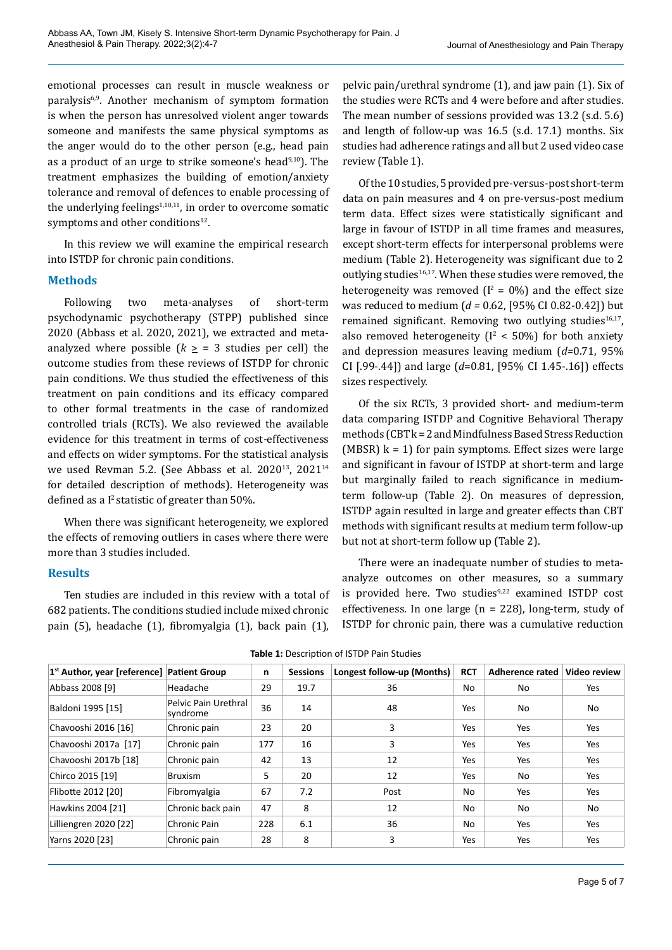emotional processes can result in muscle weakness or paralysis<sup>6,9</sup>. Another mechanism of symptom formation is when the person has unresolved violent anger towards someone and manifests the same physical symptoms as the anger would do to the other person (e.g., head pain as a product of an urge to strike someone's head $9,10$ ). The treatment emphasizes the building of emotion/anxiety tolerance and removal of defences to enable processing of the underlying feelings $1,10,11$ , in order to overcome somatic symptoms and other conditions<sup>12</sup>.

In this review we will examine the empirical research into ISTDP for chronic pain conditions.

# **Methods**

Following two meta-analyses of short-term psychodynamic psychotherapy (STPP) published since 2020 (Abbass et al. 2020, 2021), we extracted and metaanalyzed where possible  $(k \geq 3$  studies per cell) the outcome studies from these reviews of ISTDP for chronic pain conditions. We thus studied the effectiveness of this treatment on pain conditions and its efficacy compared to other formal treatments in the case of randomized controlled trials (RCTs). We also reviewed the available evidence for this treatment in terms of cost-effectiveness and effects on wider symptoms. For the statistical analysis we used Revman 5.2. (See Abbass et al. 2020<sup>13</sup>, 2021<sup>14</sup> for detailed description of methods). Heterogeneity was defined as a  $I^2$  statistic of greater than 50%.

When there was significant heterogeneity, we explored the effects of removing outliers in cases where there were more than 3 studies included.

# **Results**

Ten studies are included in this review with a total of 682 patients. The conditions studied include mixed chronic pain (5), headache (1), fibromyalgia (1), back pain (1),

pelvic pain/urethral syndrome (1), and jaw pain (1). Six of the studies were RCTs and 4 were before and after studies. The mean number of sessions provided was 13.2 (s.d. 5.6) and length of follow-up was 16.5 (s.d. 17.1) months. Six studies had adherence ratings and all but 2 used video case review (Table 1).

Of the 10 studies, 5 provided pre-versus-post short-term data on pain measures and 4 on pre-versus-post medium term data. Effect sizes were statistically significant and large in favour of ISTDP in all time frames and measures, except short-term effects for interpersonal problems were medium (Table 2). Heterogeneity was significant due to 2 outlying studies $16,17$ . When these studies were removed, the heterogeneity was removed  $(I^2 = 0\%)$  and the effect size was reduced to medium (*d =* 0.62, [95% CI 0.82-0.42]) but remained significant. Removing two outlying studies<sup>16,17</sup>, also removed heterogeneity ( $I^2$  < 50%) for both anxiety and depression measures leaving medium (*d=*0.71, 95% CI [.99-.44]) and large (*d*=0.81, [95% CI 1.45-.16]) effects sizes respectively.

Of the six RCTs, 3 provided short- and medium-term data comparing ISTDP and Cognitive Behavioral Therapy methods (CBT k = 2 and Mindfulness Based Stress Reduction (MBSR)  $k = 1$ ) for pain symptoms. Effect sizes were large and significant in favour of ISTDP at short-term and large but marginally failed to reach significance in mediumterm follow-up (Table 2). On measures of depression, ISTDP again resulted in large and greater effects than CBT methods with significant results at medium term follow-up but not at short-term follow up (Table 2).

There were an inadequate number of studies to metaanalyze outcomes on other measures, so a summary is provided here. Two studies<sup>9,22</sup> examined ISTDP cost effectiveness. In one large (n = 228), long-term, study of ISTDP for chronic pain, there was a cumulative reduction

| 1 <sup>st</sup> Author, year [reference] Patient Group |                                  | n   | <b>Sessions</b> | Longest follow-up (Months) | <b>RCT</b> | Adherence rated | Video review |
|--------------------------------------------------------|----------------------------------|-----|-----------------|----------------------------|------------|-----------------|--------------|
| Abbass 2008 [9]                                        | Headache                         | 29  | 19.7            | 36                         | No         | No              | Yes          |
| Baldoni 1995 [15]                                      | Pelvic Pain Urethral<br>syndrome | 36  | 14              | 48                         | Yes        | No              | No           |
| Chavooshi 2016 [16]                                    | Chronic pain                     | 23  | 20              | 3                          | Yes        | Yes             | Yes          |
| Chavooshi 2017a [17]                                   | Chronic pain                     | 177 | 16              | 3                          | Yes        | Yes             | Yes          |
| Chavooshi 2017b [18]                                   | Chronic pain                     | 42  | 13              | 12                         | Yes        | Yes             | Yes          |
| Chirco 2015 [19]                                       | <b>Bruxism</b>                   | 5   | 20              | 12                         | Yes        | No              | Yes          |
| Flibotte 2012 [20]                                     | Fibromyalgia                     | 67  | 7.2             | Post                       | No         | Yes             | Yes          |
| Hawkins 2004 [21]                                      | Chronic back pain                | 47  | 8               | 12                         | No         | No              | No           |
| Lilliengren 2020 [22]                                  | Chronic Pain                     | 228 | 6.1             | 36                         | No         | Yes             | Yes          |
| Yarns 2020 [23]                                        | Chronic pain                     | 28  | 8               | 3                          | Yes        | Yes             | Yes          |

**Table 1:** Description of ISTDP Pain Studies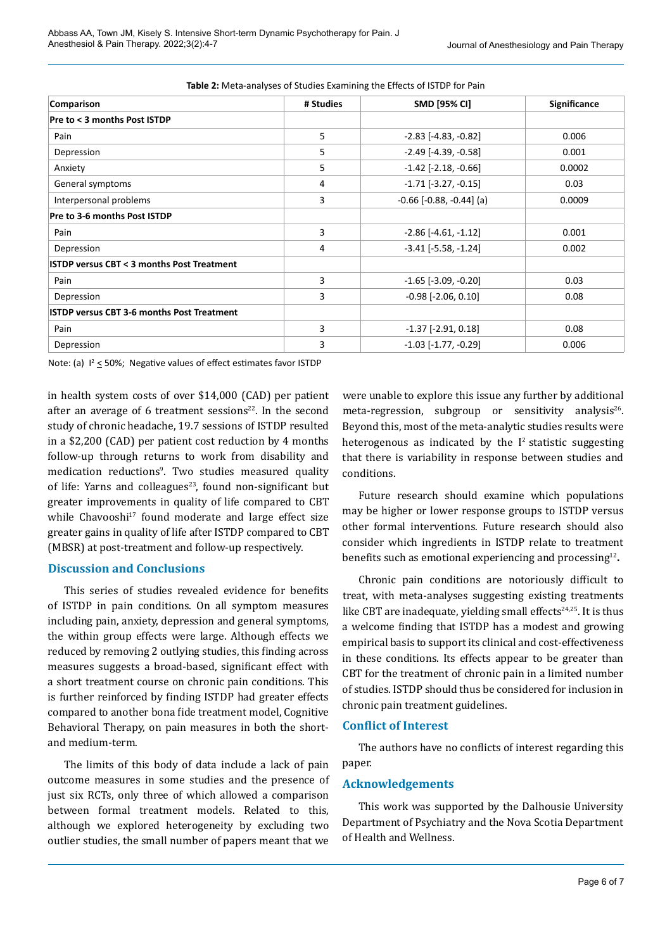| Comparison                                           | # Studies | SMD [95% CI]                  | Significance |  |
|------------------------------------------------------|-----------|-------------------------------|--------------|--|
| Pre to < 3 months Post ISTDP                         |           |                               |              |  |
| Pain                                                 | 5         | $-2.83$ [ $-4.83$ , $-0.82$ ] | 0.006        |  |
| Depression                                           | 5         | $-2.49$ [ $-4.39$ , $-0.58$ ] | 0.001        |  |
| Anxiety                                              | 5         | $-1.42$ [ $-2.18$ , $-0.66$ ] | 0.0002       |  |
| General symptoms                                     | 4         | $-1.71$ [ $-3.27$ , $-0.15$ ] | 0.03         |  |
| Interpersonal problems                               | 3         | $-0.66$ $[-0.88, -0.44]$ (a)  | 0.0009       |  |
| Pre to 3-6 months Post ISTDP                         |           |                               |              |  |
| Pain                                                 | 3         | $-2.86$ [ $-4.61$ , $-1.12$ ] | 0.001        |  |
| Depression                                           | 4         | $-3.41$ [ $-5.58$ , $-1.24$ ] | 0.002        |  |
| <b>ISTDP versus CBT &lt; 3 months Post Treatment</b> |           |                               |              |  |
| Pain                                                 | 3         | $-1.65$ [ $-3.09$ , $-0.20$ ] | 0.03         |  |
| Depression                                           | 3         | $-0.98$ [ $-2.06$ , $0.10$ ]  | 0.08         |  |
| <b>ISTDP versus CBT 3-6 months Post Treatment</b>    |           |                               |              |  |
| Pain                                                 | 3         | $-1.37$ $[-2.91, 0.18]$       | 0.08         |  |
| Depression                                           | 3         | $-1.03$ $[-1.77, -0.29]$      | 0.006        |  |

**Table 2:** Meta-analyses of Studies Examining the Effects of ISTDP for Pain

Note: (a)  $I^2 \le 50\%$ ; Negative values of effect estimates favor ISTDP

in health system costs of over \$14,000 (CAD) per patient after an average of 6 treatment sessions $22$ . In the second study of chronic headache, 19.7 sessions of ISTDP resulted in a \$2,200 (CAD) per patient cost reduction by 4 months follow-up through returns to work from disability and medication reductions<sup>9</sup>. Two studies measured quality of life: Yarns and colleagues $23$ , found non-significant but greater improvements in quality of life compared to CBT while Chavooshi<sup>17</sup> found moderate and large effect size greater gains in quality of life after ISTDP compared to CBT (MBSR) at post-treatment and follow-up respectively.

# **Discussion and Conclusions**

This series of studies revealed evidence for benefits of ISTDP in pain conditions. On all symptom measures including pain, anxiety, depression and general symptoms, the within group effects were large. Although effects we reduced by removing 2 outlying studies, this finding across measures suggests a broad-based, significant effect with a short treatment course on chronic pain conditions. This is further reinforced by finding ISTDP had greater effects compared to another bona fide treatment model, Cognitive Behavioral Therapy, on pain measures in both the shortand medium-term.

The limits of this body of data include a lack of pain outcome measures in some studies and the presence of just six RCTs, only three of which allowed a comparison between formal treatment models. Related to this, although we explored heterogeneity by excluding two outlier studies, the small number of papers meant that we

were unable to explore this issue any further by additional meta-regression, subgroup or sensitivity analysis<sup>26</sup>. Beyond this, most of the meta-analytic studies results were heterogenous as indicated by the  $I<sup>2</sup>$  statistic suggesting that there is variability in response between studies and conditions.

Future research should examine which populations may be higher or lower response groups to ISTDP versus other formal interventions. Future research should also consider which ingredients in ISTDP relate to treatment benefits such as emotional experiencing and processing<sup>12</sup>**.**

Chronic pain conditions are notoriously difficult to treat, with meta-analyses suggesting existing treatments like CBT are inadequate, yielding small effects $24,25$ . It is thus a welcome finding that ISTDP has a modest and growing empirical basis to support its clinical and cost-effectiveness in these conditions. Its effects appear to be greater than CBT for the treatment of chronic pain in a limited number of studies. ISTDP should thus be considered for inclusion in chronic pain treatment guidelines.

# **Conflict of Interest**

The authors have no conflicts of interest regarding this paper.

# **Acknowledgements**

This work was supported by the Dalhousie University Department of Psychiatry and the Nova Scotia Department of Health and Wellness.